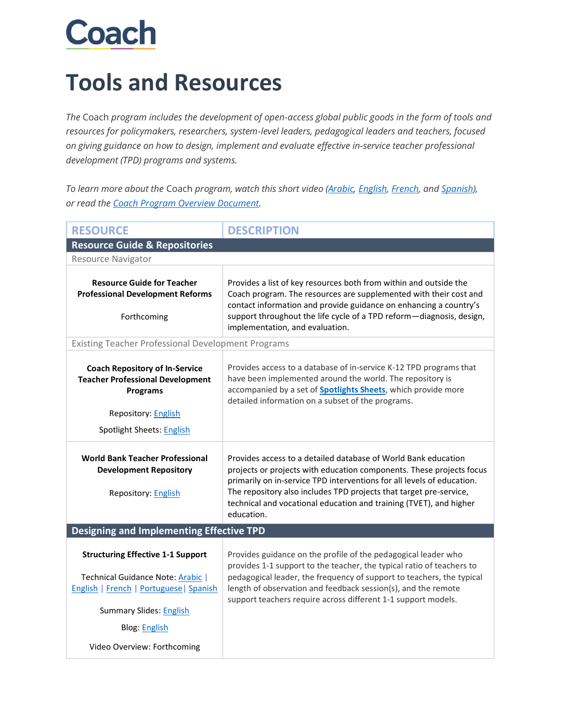## **Coach**

## **Tools and Resources**

*The* Coach *program includes the development of open-access global public goods in the form of tools and resources for policymakers, researchers, system-level leaders, pedagogical leaders and teachers, focused on giving guidance on how to design, implement and evaluate effective in-service teacher professional development (TPD) programs and systems.* 

*To learn more about the* Coach *program, watch this short video [\(Arabic,](https://youtu.be/8TNOT4y_-KQ) [English,](https://youtu.be/WujoPWASAho) [French,](https://youtu.be/Q8rHmh5SZaM) and [Spanish\)](https://youtu.be/BCCrnX2QIOc), or read the [Coach Program Overview Document.](https://thedocs.worldbank.org/en/doc/b455af6f955a971fd29157524f9d190a-0140052021/related/Coach-Program-Overview-Document.pdf)*

| <b>RESOURCE</b>                                                                                                                                                                                                   | <b>DESCRIPTION</b>                                                                                                                                                                                                                                                                                                                                                         |  |
|-------------------------------------------------------------------------------------------------------------------------------------------------------------------------------------------------------------------|----------------------------------------------------------------------------------------------------------------------------------------------------------------------------------------------------------------------------------------------------------------------------------------------------------------------------------------------------------------------------|--|
| <b>Resource Guide &amp; Repositories</b>                                                                                                                                                                          |                                                                                                                                                                                                                                                                                                                                                                            |  |
| <b>Resource Navigator</b>                                                                                                                                                                                         |                                                                                                                                                                                                                                                                                                                                                                            |  |
| <b>Resource Guide for Teacher</b><br><b>Professional Development Reforms</b><br>Forthcoming                                                                                                                       | Provides a list of key resources both from within and outside the<br>Coach program. The resources are supplemented with their cost and<br>contact information and provide guidance on enhancing a country's<br>support throughout the life cycle of a TPD reform-diagnosis, design,<br>implementation, and evaluation.                                                     |  |
| <b>Existing Teacher Professional Development Programs</b>                                                                                                                                                         |                                                                                                                                                                                                                                                                                                                                                                            |  |
| <b>Coach Repository of In-Service</b><br><b>Teacher Professional Development</b><br><b>Programs</b><br>Repository: English<br>Spotlight Sheets: English                                                           | Provides access to a database of in-service K-12 TPD programs that<br>have been implemented around the world. The repository is<br>accompanied by a set of <b>Spotlights Sheets</b> , which provide more<br>detailed information on a subset of the programs.                                                                                                              |  |
| <b>World Bank Teacher Professional</b><br><b>Development Repository</b><br><b>Repository: English</b>                                                                                                             | Provides access to a detailed database of World Bank education<br>projects or projects with education components. These projects focus<br>primarily on in-service TPD interventions for all levels of education.<br>The repository also includes TPD projects that target pre-service,<br>technical and vocational education and training (TVET), and higher<br>education. |  |
| <b>Designing and Implementing Effective TPD</b>                                                                                                                                                                   |                                                                                                                                                                                                                                                                                                                                                                            |  |
| <b>Structuring Effective 1-1 Support</b><br>Technical Guidance Note: Arabic  <br>English   French   Portuguese   Spanish<br><b>Summary Slides: English</b><br><b>Blog: English</b><br>Video Overview: Forthcoming | Provides guidance on the profile of the pedagogical leader who<br>provides 1-1 support to the teacher, the typical ratio of teachers to<br>pedagogical leader, the frequency of support to teachers, the typical<br>length of observation and feedback session(s), and the remote<br>support teachers require across different 1-1 support models.                         |  |
|                                                                                                                                                                                                                   |                                                                                                                                                                                                                                                                                                                                                                            |  |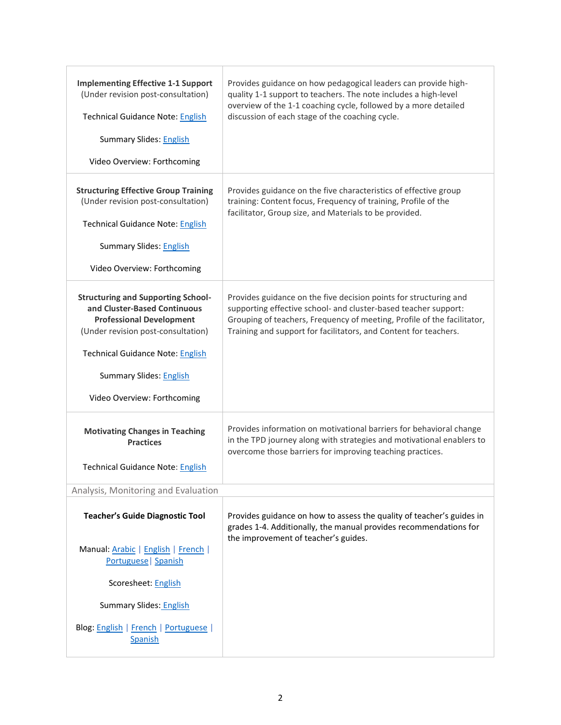| <b>Implementing Effective 1-1 Support</b><br>(Under revision post-consultation)<br><b>Technical Guidance Note: English</b><br><b>Summary Slides: English</b><br>Video Overview: Forthcoming   | Provides guidance on how pedagogical leaders can provide high-<br>quality 1-1 support to teachers. The note includes a high-level<br>overview of the 1-1 coaching cycle, followed by a more detailed<br>discussion of each stage of the coaching cycle.                             |
|-----------------------------------------------------------------------------------------------------------------------------------------------------------------------------------------------|-------------------------------------------------------------------------------------------------------------------------------------------------------------------------------------------------------------------------------------------------------------------------------------|
|                                                                                                                                                                                               |                                                                                                                                                                                                                                                                                     |
| <b>Structuring Effective Group Training</b><br>(Under revision post-consultation)                                                                                                             | Provides guidance on the five characteristics of effective group<br>training: Content focus, Frequency of training, Profile of the<br>facilitator, Group size, and Materials to be provided.                                                                                        |
| <b>Technical Guidance Note: English</b>                                                                                                                                                       |                                                                                                                                                                                                                                                                                     |
| <b>Summary Slides: English</b>                                                                                                                                                                |                                                                                                                                                                                                                                                                                     |
| Video Overview: Forthcoming                                                                                                                                                                   |                                                                                                                                                                                                                                                                                     |
| <b>Structuring and Supporting School-</b><br>and Cluster-Based Continuous<br><b>Professional Development</b><br>(Under revision post-consultation)<br><b>Technical Guidance Note: English</b> | Provides guidance on the five decision points for structuring and<br>supporting effective school- and cluster-based teacher support:<br>Grouping of teachers, Frequency of meeting, Profile of the facilitator,<br>Training and support for facilitators, and Content for teachers. |
| <b>Summary Slides: English</b>                                                                                                                                                                |                                                                                                                                                                                                                                                                                     |
| Video Overview: Forthcoming                                                                                                                                                                   |                                                                                                                                                                                                                                                                                     |
| <b>Motivating Changes in Teaching</b><br><b>Practices</b>                                                                                                                                     | Provides information on motivational barriers for behavioral change<br>in the TPD journey along with strategies and motivational enablers to<br>overcome those barriers for improving teaching practices.                                                                           |
| <b>Technical Guidance Note: English</b>                                                                                                                                                       |                                                                                                                                                                                                                                                                                     |
| Analysis, Monitoring and Evaluation                                                                                                                                                           |                                                                                                                                                                                                                                                                                     |
| <b>Teacher's Guide Diagnostic Tool</b>                                                                                                                                                        | Provides guidance on how to assess the quality of teacher's guides in<br>grades 1-4. Additionally, the manual provides recommendations for<br>the improvement of teacher's guides.                                                                                                  |
| Manual: Arabic   English   French  <br>Portuguese   Spanish                                                                                                                                   |                                                                                                                                                                                                                                                                                     |
| Scoresheet: English                                                                                                                                                                           |                                                                                                                                                                                                                                                                                     |
| <b>Summary Slides: English</b>                                                                                                                                                                |                                                                                                                                                                                                                                                                                     |
| Blog: English   French   Portuguese  <br><b>Spanish</b>                                                                                                                                       |                                                                                                                                                                                                                                                                                     |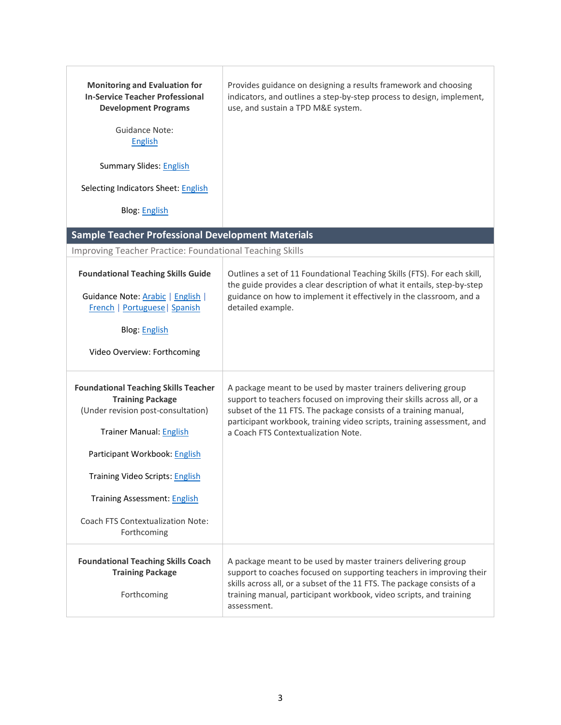| <b>Monitoring and Evaluation for</b><br><b>In-Service Teacher Professional</b><br><b>Development Programs</b><br>Guidance Note:<br>English<br><b>Summary Slides: English</b><br>Selecting Indicators Sheet: English<br><b>Blog: English</b><br><b>Sample Teacher Professional Development Materials</b>       | Provides guidance on designing a results framework and choosing<br>indicators, and outlines a step-by-step process to design, implement,<br>use, and sustain a TPD M&E system.                                                                                                                                                |  |
|---------------------------------------------------------------------------------------------------------------------------------------------------------------------------------------------------------------------------------------------------------------------------------------------------------------|-------------------------------------------------------------------------------------------------------------------------------------------------------------------------------------------------------------------------------------------------------------------------------------------------------------------------------|--|
| Improving Teacher Practice: Foundational Teaching Skills                                                                                                                                                                                                                                                      |                                                                                                                                                                                                                                                                                                                               |  |
| <b>Foundational Teaching Skills Guide</b><br>Guidance Note: Arabic   English  <br>French   Portuguese   Spanish<br><b>Blog: English</b><br>Video Overview: Forthcoming                                                                                                                                        | Outlines a set of 11 Foundational Teaching Skills (FTS). For each skill,<br>the guide provides a clear description of what it entails, step-by-step<br>guidance on how to implement it effectively in the classroom, and a<br>detailed example.                                                                               |  |
| <b>Foundational Teaching Skills Teacher</b><br><b>Training Package</b><br>(Under revision post-consultation)<br><b>Trainer Manual: English</b><br>Participant Workbook: English<br>Training Video Scripts: English<br><b>Training Assessment: English</b><br>Coach FTS Contextualization Note:<br>Forthcoming | A package meant to be used by master trainers delivering group<br>support to teachers focused on improving their skills across all, or a<br>subset of the 11 FTS. The package consists of a training manual,<br>participant workbook, training video scripts, training assessment, and<br>a Coach FTS Contextualization Note. |  |
| <b>Foundational Teaching Skills Coach</b><br><b>Training Package</b><br>Forthcoming                                                                                                                                                                                                                           | A package meant to be used by master trainers delivering group<br>support to coaches focused on supporting teachers in improving their<br>skills across all, or a subset of the 11 FTS. The package consists of a<br>training manual, participant workbook, video scripts, and training<br>assessment.                        |  |